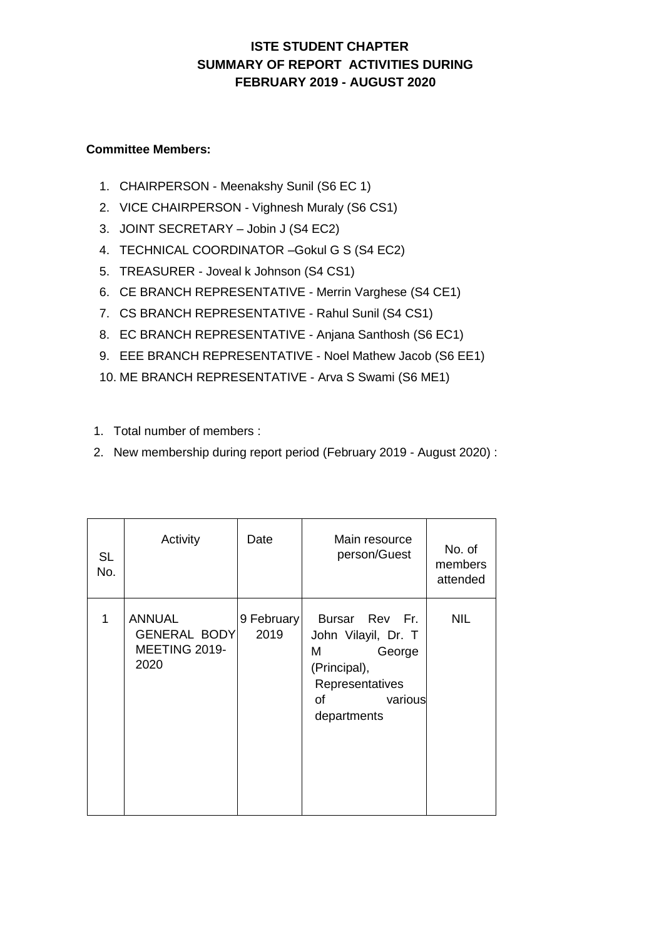## **ISTE STUDENT CHAPTER SUMMARY OF REPORT ACTIVITIES DURING FEBRUARY 2019 - AUGUST 2020**

## **Committee Members:**

- 1. CHAIRPERSON Meenakshy Sunil (S6 EC 1)
- 2. VICE CHAIRPERSON Vighnesh Muraly (S6 CS1)
- 3. JOINT SECRETARY Jobin J (S4 EC2)
- 4. TECHNICAL COORDINATOR –Gokul G S (S4 EC2)
- 5. TREASURER Joveal k Johnson (S4 CS1)
- 6. CE BRANCH REPRESENTATIVE Merrin Varghese (S4 CE1)
- 7. CS BRANCH REPRESENTATIVE Rahul Sunil (S4 CS1)
- 8. EC BRANCH REPRESENTATIVE Anjana Santhosh (S6 EC1)
- 9. EEE BRANCH REPRESENTATIVE Noel Mathew Jacob (S6 EE1)
- 10. ME BRANCH REPRESENTATIVE Arva S Swami (S6 ME1)
- 1. Total number of members :
- 2. New membership during report period (February 2019 August 2020) :

| <b>SL</b><br>No. | Activity                                               | Date               | Main resource<br>person/Guest                                                                                           | No. of<br>members<br>attended |
|------------------|--------------------------------------------------------|--------------------|-------------------------------------------------------------------------------------------------------------------------|-------------------------------|
| 1                | ANNUAL<br><b>GENERAL BODY</b><br>MEETING 2019-<br>2020 | 9 February<br>2019 | Bursar Rev Fr.<br>John Vilayil, Dr. T<br>George<br>M<br>(Principal),<br>Representatives<br>οf<br>various<br>departments | <b>NIL</b>                    |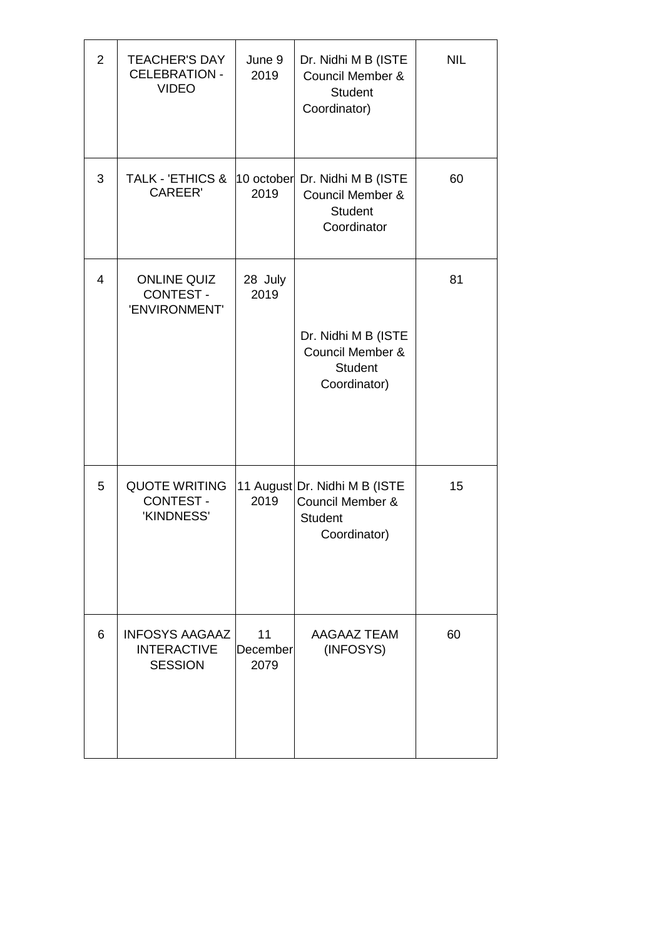| $\overline{2}$ | <b>TEACHER'S DAY</b><br><b>CELEBRATION -</b><br><b>VIDEO</b>  | June 9<br>2019         | Dr. Nidhi M B (ISTE<br>Council Member &<br><b>Student</b><br>Coordinator)           | <b>NIL</b> |
|----------------|---------------------------------------------------------------|------------------------|-------------------------------------------------------------------------------------|------------|
| 3              | <b>TALK - 'ETHICS &amp;</b><br><b>CAREER'</b>                 | 10 october<br>2019     | Dr. Nidhi M B (ISTE<br>Council Member &<br><b>Student</b><br>Coordinator            | 60         |
| $\overline{4}$ | <b>ONLINE QUIZ</b><br><b>CONTEST -</b><br>'ENVIRONMENT'       | 28 July<br>2019        | Dr. Nidhi M B (ISTE<br>Council Member &<br><b>Student</b><br>Coordinator)           | 81         |
| 5              | <b>QUOTE WRITING</b><br><b>CONTEST -</b><br>'KINDNESS'        | 2019                   | 11 August Dr. Nidhi M B (ISTE<br>Council Member &<br><b>Student</b><br>Coordinator) | 15         |
| 6              | <b>INFOSYS AAGAAZ</b><br><b>INTERACTIVE</b><br><b>SESSION</b> | 11<br>December<br>2079 | <b>AAGAAZ TEAM</b><br>(INFOSYS)                                                     | 60         |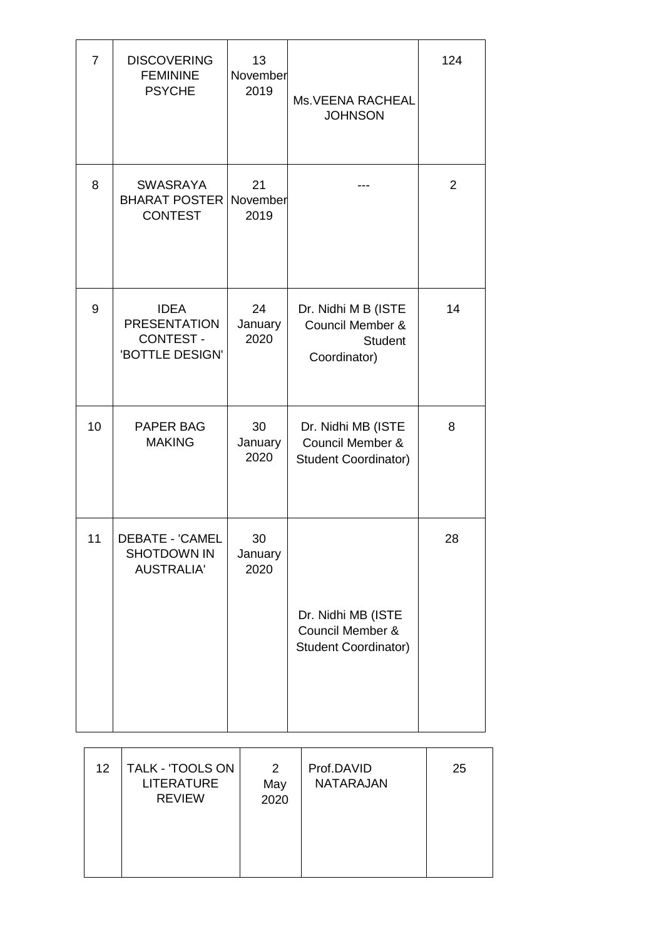| $\overline{7}$ | <b>DISCOVERING</b><br><b>FEMININE</b><br><b>PSYCHE</b>                   | 13<br>November<br>2019 | Ms. VEENA RACHEAL<br><b>JOHNSON</b>                                              | 124            |
|----------------|--------------------------------------------------------------------------|------------------------|----------------------------------------------------------------------------------|----------------|
| 8              | <b>SWASRAYA</b><br><b>BHARAT POSTER</b><br><b>CONTEST</b>                | 21<br>November<br>2019 |                                                                                  | $\overline{2}$ |
| 9              | <b>IDEA</b><br><b>PRESENTATION</b><br><b>CONTEST-</b><br>'BOTTLE DESIGN' | 24<br>January<br>2020  | Dr. Nidhi M B (ISTE<br>Council Member &<br><b>Student</b><br>Coordinator)        | 14             |
| 10             | PAPER BAG<br><b>MAKING</b>                                               | 30<br>January<br>2020  | Dr. Nidhi MB (ISTE<br><b>Council Member &amp;</b><br><b>Student Coordinator)</b> | 8              |
| 11             | <b>DEBATE - 'CAMEL</b><br><b>SHOTDOWN IN</b><br><b>AUSTRALIA'</b>        | 30<br>January<br>2020  | Dr. Nidhi MB (ISTE<br>Council Member &<br><b>Student Coordinator)</b>            | 28             |

| 12 <sup>°</sup> | TALK - 'TOOLS ON<br><b>LITERATURE</b><br><b>REVIEW</b> | $\overline{2}$<br>May<br>2020 | Prof.DAVID<br><b>NATARAJAN</b> | 25 |
|-----------------|--------------------------------------------------------|-------------------------------|--------------------------------|----|
|                 |                                                        |                               |                                |    |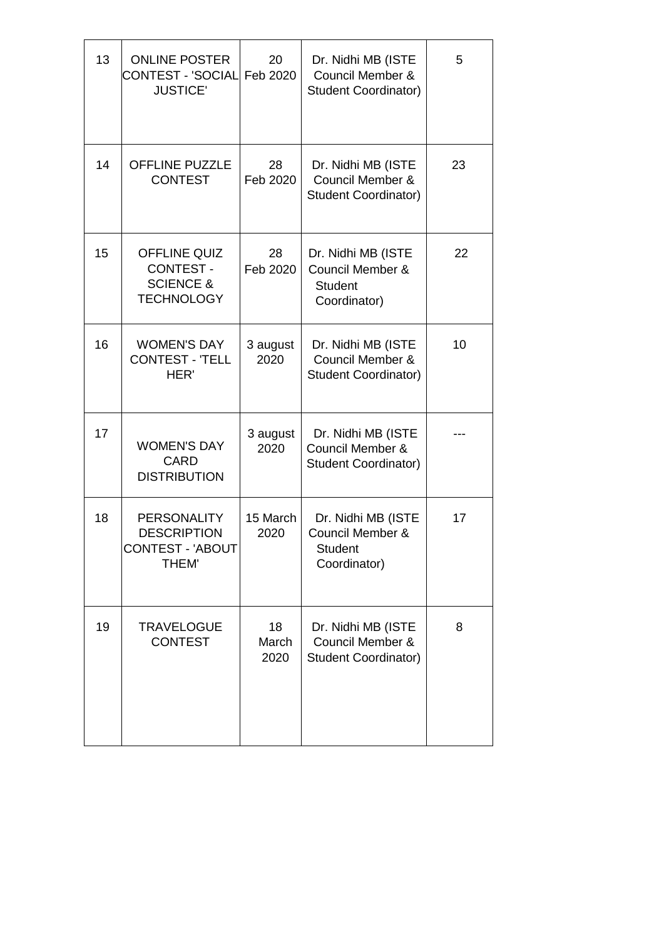| 13 | <b>ONLINE POSTER</b><br>CONTEST - 'SOCIAL<br><b>JUSTICE'</b>                         | 20<br>Feb 2020      | Dr. Nidhi MB (ISTE<br>Council Member &<br><b>Student Coordinator)</b>               | 5  |
|----|--------------------------------------------------------------------------------------|---------------------|-------------------------------------------------------------------------------------|----|
| 14 | <b>OFFLINE PUZZLE</b><br><b>CONTEST</b>                                              | 28<br>Feb 2020      | Dr. Nidhi MB (ISTE<br>Council Member &<br><b>Student Coordinator)</b>               | 23 |
| 15 | <b>OFFLINE QUIZ</b><br><b>CONTEST -</b><br><b>SCIENCE &amp;</b><br><b>TECHNOLOGY</b> | 28<br>Feb 2020      | Dr. Nidhi MB (ISTE<br><b>Council Member &amp;</b><br><b>Student</b><br>Coordinator) | 22 |
| 16 | <b>WOMEN'S DAY</b><br><b>CONTEST - 'TELL</b><br>HER'                                 | 3 august<br>2020    | Dr. Nidhi MB (ISTE<br>Council Member &<br><b>Student Coordinator)</b>               | 10 |
| 17 | <b>WOMEN'S DAY</b><br><b>CARD</b><br><b>DISTRIBUTION</b>                             | 3 august<br>2020    | Dr. Nidhi MB (ISTE<br>Council Member &<br><b>Student Coordinator)</b>               |    |
| 18 | <b>PERSONALITY</b><br><b>DESCRIPTION</b><br><b>CONTEST - 'ABOUT</b><br><b>THEM'</b>  | 15 March<br>2020    | Dr. Nidhi MB (ISTE<br><b>Council Member &amp;</b><br><b>Student</b><br>Coordinator) | 17 |
| 19 | <b>TRAVELOGUE</b><br><b>CONTEST</b>                                                  | 18<br>March<br>2020 | Dr. Nidhi MB (ISTE<br><b>Council Member &amp;</b><br><b>Student Coordinator)</b>    | 8  |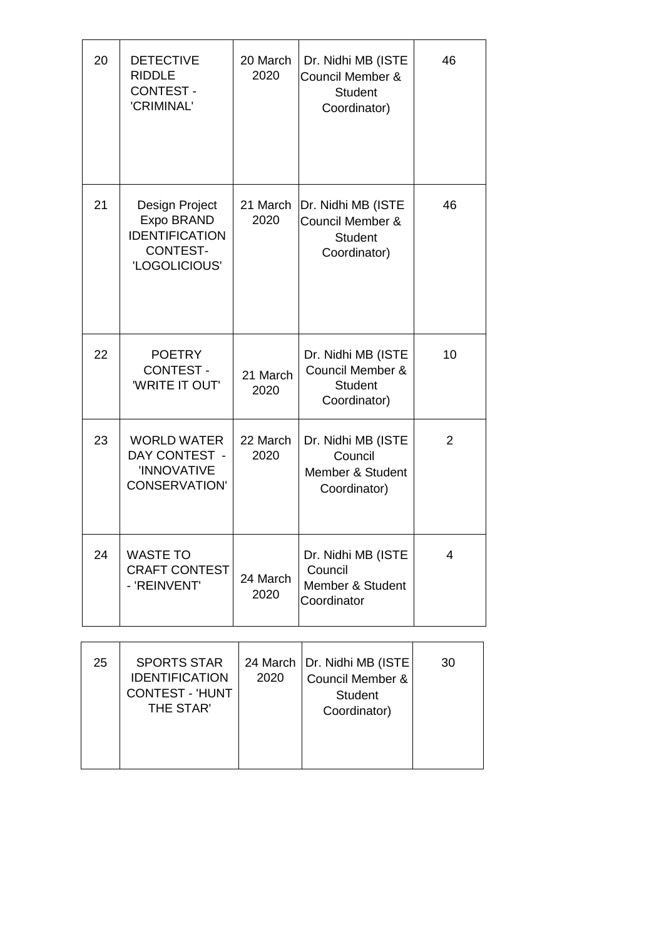| 20 | <b>DETECTIVE</b><br><b>RIDDLE</b><br><b>CONTEST -</b><br>'CRIMINAL'                       | 20 March<br>2020 | Dr. Nidhi MB (ISTE<br>Council Member &<br><b>Student</b><br>Coordinator) | 46 |
|----|-------------------------------------------------------------------------------------------|------------------|--------------------------------------------------------------------------|----|
| 21 | Design Project<br>Expo BRAND<br><b>IDENTIFICATION</b><br><b>CONTEST-</b><br>'LOGOLICIOUS' | 21 March<br>2020 | Dr. Nidhi MB (ISTE<br>Council Member &<br><b>Student</b><br>Coordinator) | 46 |
| 22 | <b>POETRY</b><br><b>CONTEST -</b><br><b>'WRITE IT OUT'</b>                                | 21 March<br>2020 | Dr. Nidhi MB (ISTE<br>Council Member &<br><b>Student</b><br>Coordinator) | 10 |
| 23 | <b>WORLD WATER</b><br>DAY CONTEST -<br>'INNOVATIVE<br><b>CONSERVATION'</b>                | 22 March<br>2020 | Dr. Nidhi MB (ISTE<br>Council<br>Member & Student<br>Coordinator)        | 2  |
| 24 | <b>WASTE TO</b><br><b>CRAFT CONTEST</b><br>- 'REINVENT'                                   | 24 March<br>2020 | Dr. Nidhi MB (ISTE<br>Council<br>Member & Student<br>Coordinator         | 4  |

| 25 | <b>SPORTS STAR</b><br><b>IDENTIFICATION</b><br><b>CONTEST - 'HUNT</b><br>THE STAR' | 2020 | 24 March   Dr. Nidhi MB (ISTE)<br>Council Member &<br><b>Student</b><br>Coordinator) | 30 |
|----|------------------------------------------------------------------------------------|------|--------------------------------------------------------------------------------------|----|
|----|------------------------------------------------------------------------------------|------|--------------------------------------------------------------------------------------|----|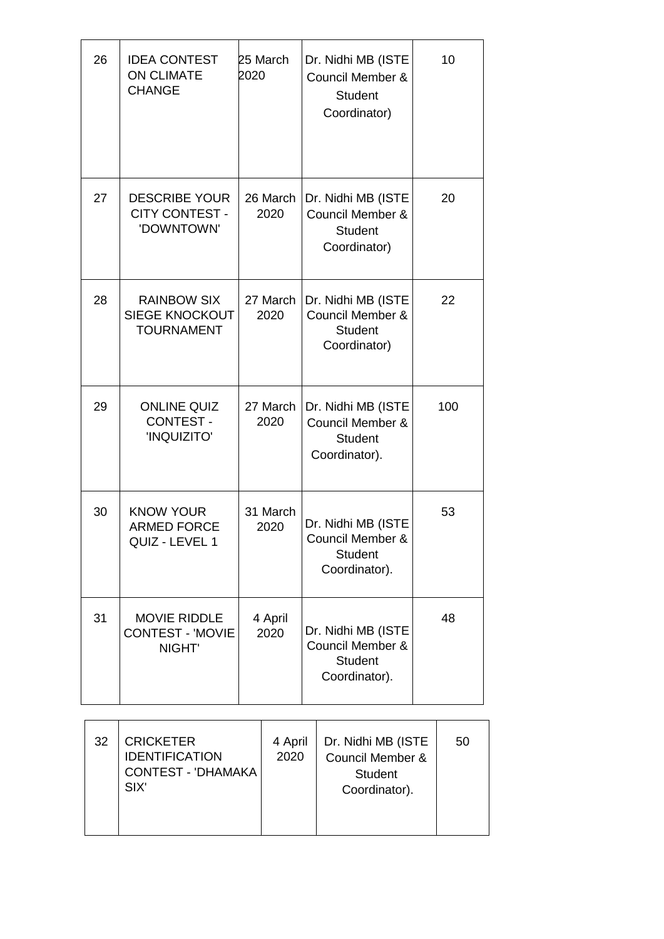| 26 | <b>IDEA CONTEST</b><br><b>ON CLIMATE</b><br><b>CHANGE</b>   | 25 March<br>2020 | Dr. Nidhi MB (ISTE<br><b>Council Member &amp;</b><br><b>Student</b><br>Coordinator)  | 10  |
|----|-------------------------------------------------------------|------------------|--------------------------------------------------------------------------------------|-----|
| 27 | <b>DESCRIBE YOUR</b><br><b>CITY CONTEST -</b><br>'DOWNTOWN' | 26 March<br>2020 | Dr. Nidhi MB (ISTE<br>Council Member &<br><b>Student</b><br>Coordinator)             | 20  |
| 28 | <b>RAINBOW SIX</b><br>SIEGE KNOCKOUT<br><b>TOURNAMENT</b>   | 27 March<br>2020 | Dr. Nidhi MB (ISTE<br><b>Council Member &amp;</b><br><b>Student</b><br>Coordinator)  | 22  |
| 29 | <b>ONLINE QUIZ</b><br><b>CONTEST -</b><br>'INQUIZITO'       | 27 March<br>2020 | Dr. Nidhi MB (ISTE<br>Council Member &<br><b>Student</b><br>Coordinator).            | 100 |
| 30 | <b>KNOW YOUR</b><br><b>ARMED FORCE</b><br>QUIZ - LEVEL 1    | 31 March<br>2020 | Dr. Nidhi MB (ISTE<br><b>Council Member &amp;</b><br><b>Student</b><br>Coordinator). | 53  |
| 31 | <b>MOVIE RIDDLE</b><br><b>CONTEST - 'MOVIE</b><br>NIGHT'    | 4 April<br>2020  | Dr. Nidhi MB (ISTE<br>Council Member &<br><b>Student</b><br>Coordinator).            | 48  |

| 32 | <b>CRICKETER</b><br><b>IDENTIFICATION</b><br><b>CONTEST - 'DHAMAKA</b><br>SIX' | 4 April<br>2020 | Dr. Nidhi MB (ISTE<br><b>Council Member &amp;</b><br><b>Student</b><br>Coordinator). | 50 |
|----|--------------------------------------------------------------------------------|-----------------|--------------------------------------------------------------------------------------|----|
|    |                                                                                |                 |                                                                                      |    |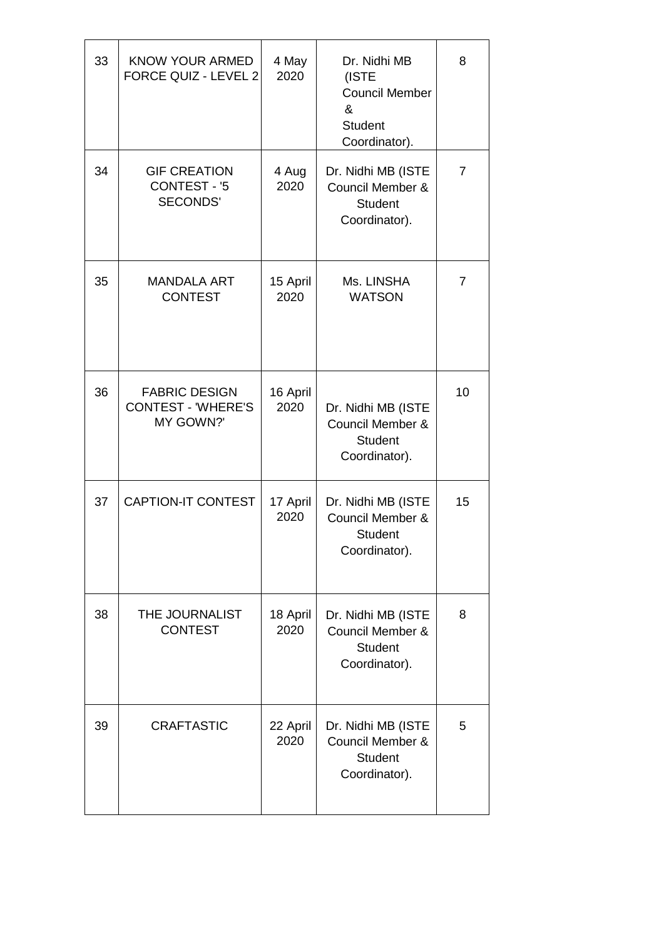| 33 | KNOW YOUR ARMED<br>FORCE QUIZ - LEVEL 2                        | 4 May<br>2020    | Dr. Nidhi MB<br>(ISTE<br><b>Council Member</b><br>&<br><b>Student</b><br>Coordinator). | 8  |
|----|----------------------------------------------------------------|------------------|----------------------------------------------------------------------------------------|----|
| 34 | <b>GIF CREATION</b><br><b>CONTEST - '5</b><br><b>SECONDS'</b>  | 4 Aug<br>2020    | Dr. Nidhi MB (ISTE<br>Council Member &<br><b>Student</b><br>Coordinator).              | 7  |
| 35 | <b>MANDALA ART</b><br><b>CONTEST</b>                           | 15 April<br>2020 | Ms. LINSHA<br><b>WATSON</b>                                                            | 7  |
| 36 | <b>FABRIC DESIGN</b><br><b>CONTEST - 'WHERE'S</b><br>MY GOWN?' | 16 April<br>2020 | Dr. Nidhi MB (ISTE<br><b>Council Member &amp;</b><br><b>Student</b><br>Coordinator).   | 10 |
| 37 | <b>CAPTION-IT CONTEST</b>                                      | 17 April<br>2020 | Dr. Nidhi MB (ISTE<br><b>Council Member &amp;</b><br><b>Student</b><br>Coordinator).   | 15 |
| 38 | THE JOURNALIST<br><b>CONTEST</b>                               | 18 April<br>2020 | Dr. Nidhi MB (ISTE<br><b>Council Member &amp;</b><br><b>Student</b><br>Coordinator).   | 8  |
| 39 | <b>CRAFTASTIC</b>                                              | 22 April<br>2020 | Dr. Nidhi MB (ISTE<br>Council Member &<br><b>Student</b><br>Coordinator).              | 5  |